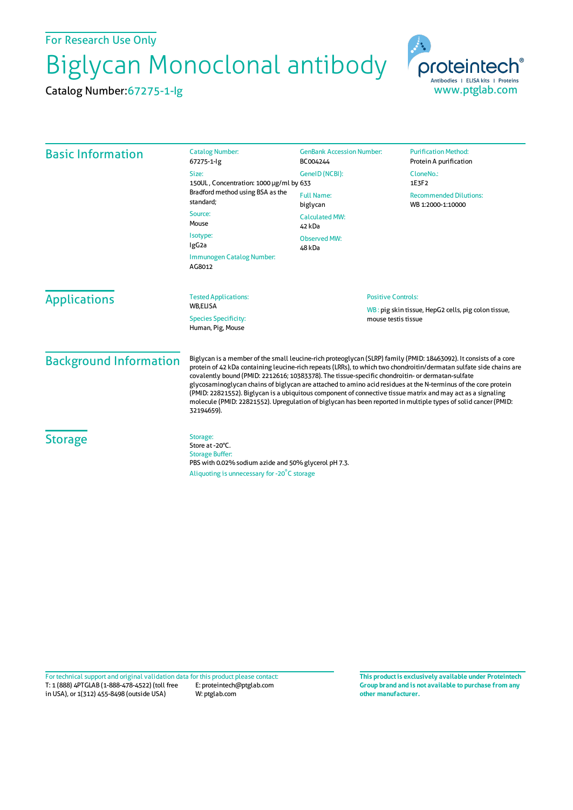For Research Use Only

## Biglycan Monoclonal antibody

Catalog Number:67275-1-Ig



| <b>Basic Information</b>      | <b>Catalog Number:</b><br>67275-1-lg                                                                                                                                                                                                                                                                                                                                                                                                                                                                                                                                                                                                                                                                          | <b>GenBank Accession Number:</b><br>BC004244 | <b>Purification Method:</b><br>Protein A purification                      |
|-------------------------------|---------------------------------------------------------------------------------------------------------------------------------------------------------------------------------------------------------------------------------------------------------------------------------------------------------------------------------------------------------------------------------------------------------------------------------------------------------------------------------------------------------------------------------------------------------------------------------------------------------------------------------------------------------------------------------------------------------------|----------------------------------------------|----------------------------------------------------------------------------|
|                               | Size:<br>150UL, Concentration: 1000 µg/ml by 633<br>Bradford method using BSA as the<br>standard;                                                                                                                                                                                                                                                                                                                                                                                                                                                                                                                                                                                                             | GeneID (NCBI):                               | CloneNo.:<br>1E3F2                                                         |
|                               |                                                                                                                                                                                                                                                                                                                                                                                                                                                                                                                                                                                                                                                                                                               | <b>Full Name:</b><br>biglycan                | <b>Recommended Dilutions:</b><br>WB 1:2000-1:10000                         |
|                               | Source:<br>Mouse                                                                                                                                                                                                                                                                                                                                                                                                                                                                                                                                                                                                                                                                                              | <b>Calculated MW:</b><br>42 kDa              |                                                                            |
|                               | Isotype:<br>IgG <sub>2a</sub>                                                                                                                                                                                                                                                                                                                                                                                                                                                                                                                                                                                                                                                                                 | <b>Observed MW:</b><br>48 kDa                |                                                                            |
|                               | Immunogen Catalog Number:<br>AG8012                                                                                                                                                                                                                                                                                                                                                                                                                                                                                                                                                                                                                                                                           |                                              |                                                                            |
| <b>Applications</b>           | <b>Tested Applications:</b><br>WB,ELISA                                                                                                                                                                                                                                                                                                                                                                                                                                                                                                                                                                                                                                                                       | <b>Positive Controls:</b>                    |                                                                            |
|                               | <b>Species Specificity:</b><br>Human, Pig, Mouse                                                                                                                                                                                                                                                                                                                                                                                                                                                                                                                                                                                                                                                              |                                              | WB: pig skin tissue, HepG2 cells, pig colon tissue,<br>mouse testis tissue |
| <b>Background Information</b> | Biglycan is a member of the small leucine-rich proteoglycan (SLRP) family (PMID: 18463092). It consists of a core<br>protein of 42 kDa containing leucine-rich repeats (LRRs), to which two chondroitin/dermatan sulfate side chains are<br>covalently bound (PMID: 2212616; 10383378). The tissue-specific chondroitin- or dermatan-sulfate<br>glycosaminoglycan chains of biglycan are attached to amino acid residues at the N-terminus of the core protein<br>(PMID: 22821552). Biglycan is a ubiquitous component of connective tissue matrix and may act as a signaling<br>molecule (PMID: 22821552). Upregulation of biglycan has been reported in multiple types of solid cancer (PMID:<br>32194659). |                                              |                                                                            |
| <b>Storage</b>                | Storage:<br>Store at -20°C.<br><b>Storage Buffer:</b><br>PBS with 0.02% sodium azide and 50% glycerol pH 7.3.<br>Aliquoting is unnecessary for -20°C storage                                                                                                                                                                                                                                                                                                                                                                                                                                                                                                                                                  |                                              |                                                                            |

T: 1 (888) 4PTGLAB (1-888-478-4522) (toll free in USA), or 1(312) 455-8498 (outside USA) E: proteintech@ptglab.com W: ptglab.com Fortechnical support and original validation data forthis product please contact: **This productis exclusively available under Proteintech**

**Group brand and is not available to purchase from any other manufacturer.**